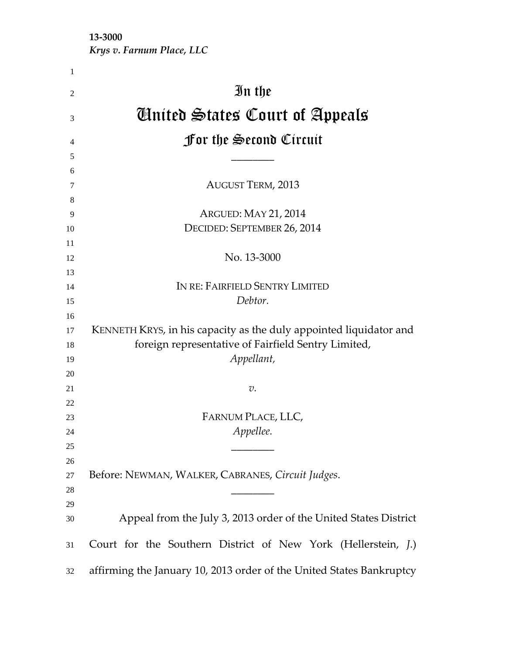**‐3000** 

*Krys v. Farnum Place, LLC*

| 1  |                                                                      |
|----|----------------------------------------------------------------------|
| 2  | In the                                                               |
| 3  | Ginited States Court of Appeals                                      |
| 4  | <b>for the Second Circuit</b>                                        |
| 5  |                                                                      |
| 6  |                                                                      |
| 7  | <b>AUGUST TERM, 2013</b>                                             |
| 8  |                                                                      |
| 9  | ARGUED: MAY 21, 2014                                                 |
| 10 | DECIDED: SEPTEMBER 26, 2014                                          |
| 11 |                                                                      |
| 12 | No. 13-3000                                                          |
| 13 |                                                                      |
| 14 | IN RE: FAIRFIELD SENTRY LIMITED                                      |
| 15 | Debtor.                                                              |
| 16 |                                                                      |
| 17 | KENNETH KRYS, in his capacity as the duly appointed liquidator and   |
| 18 | foreign representative of Fairfield Sentry Limited,                  |
| 19 | Appellant,                                                           |
| 20 |                                                                      |
| 21 | $v$ .                                                                |
| 22 |                                                                      |
| 23 | FARNUM PLACE, LLC,                                                   |
| 24 | Appellee.                                                            |
| 25 |                                                                      |
| 26 |                                                                      |
| 27 | Before: NEWMAN, WALKER, CABRANES, Circuit Judges.                    |
| 28 |                                                                      |
| 29 |                                                                      |
| 30 | Appeal from the July 3, 2013 order of the United States District     |
| 31 | Court for the Southern District of New York (Hellerstein, J.)        |
| 32 | affirming the January 10, 2013 order of the United States Bankruptcy |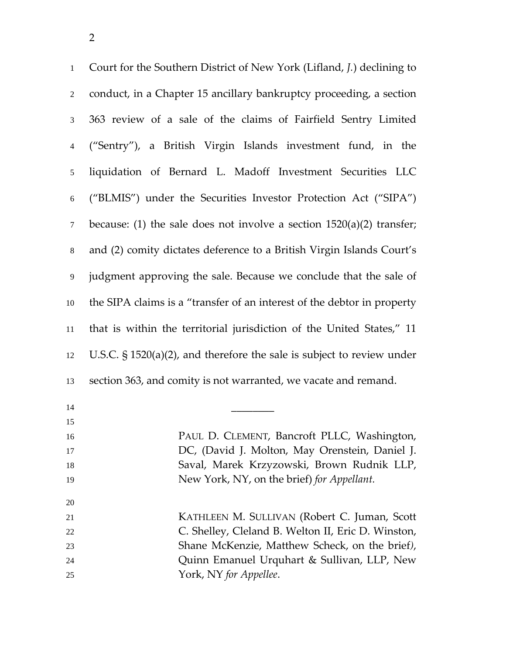| $\mathbf{1}$     | Court for the Southern District of New York (Lifland, J.) declining to    |
|------------------|---------------------------------------------------------------------------|
| $\overline{2}$   | conduct, in a Chapter 15 ancillary bankruptcy proceeding, a section       |
| 3                | 363 review of a sale of the claims of Fairfield Sentry Limited            |
| $\overline{4}$   | ("Sentry"), a British Virgin Islands investment fund, in the              |
| $\mathfrak s$    | liquidation of Bernard L. Madoff Investment Securities LLC                |
| $\sqrt{6}$       | ("BLMIS") under the Securities Investor Protection Act ("SIPA")           |
| $\boldsymbol{7}$ | because: (1) the sale does not involve a section $1520(a)(2)$ transfer;   |
| $8\,$            | and (2) comity dictates deference to a British Virgin Islands Court's     |
| $\overline{9}$   | judgment approving the sale. Because we conclude that the sale of         |
| $10\,$           | the SIPA claims is a "transfer of an interest of the debtor in property   |
| $11\,$           | that is within the territorial jurisdiction of the United States," 11     |
| 12               | U.S.C. $\S$ 1520(a)(2), and therefore the sale is subject to review under |
| 13               | section 363, and comity is not warranted, we vacate and remand.           |
| 14               |                                                                           |
| 15               |                                                                           |
| 16               | PAUL D. CLEMENT, Bancroft PLLC, Washington,                               |
| 17               | DC, (David J. Molton, May Orenstein, Daniel J.                            |
| 18               | Saval, Marek Krzyzowski, Brown Rudnik LLP,                                |
| 19               | New York, NY, on the brief) for Appellant.                                |

 KATHLEEN M. SULLIVAN (Robert C. Juman, Scott C. Shelley, Cleland B. Welton II, Eric D. Winston, Shane McKenzie, Matthew Scheck, on the brief*)*, Quinn Emanuel Urquhart & Sullivan, LLP, New York, NY *for Appellee*.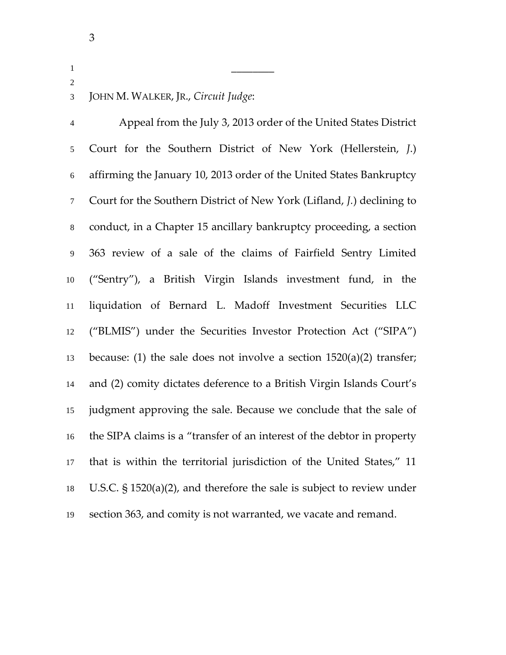## JOHN M. WALKER, JR., *Circuit Judge*:

\_\_\_\_\_\_\_\_

Appeal from the July 3, 2013 order of the United States District Court for the Southern District of New York (Hellerstein, *J*.) affirming the January 10, 2013 order of the United States Bankruptcy Court for the Southern District of New York (Lifland, *J.*) declining to conduct, in a Chapter 15 ancillary bankruptcy proceeding, a section 363 review of a sale of the claims of Fairfield Sentry Limited ("Sentry"), a British Virgin Islands investment fund, in the liquidation of Bernard L. Madoff Investment Securities LLC ("BLMIS") under the Securities Investor Protection Act ("SIPA") 13 because: (1) the sale does not involve a section  $1520(a)(2)$  transfer; and (2) comity dictates deference to a British Virgin Islands Court's judgment approving the sale. Because we conclude that the sale of the SIPA claims is a "transfer of an interest of the debtor in property that is within the territorial jurisdiction of the United States," 11 U.S.C. § 1520(a)(2), and therefore the sale is subject to review under section 363, and comity is not warranted, we vacate and remand.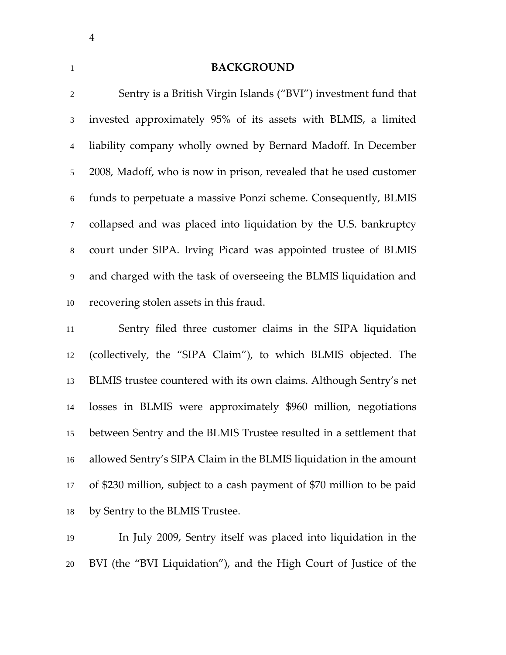#### **BACKGROUND**

| $\overline{2}$ | Sentry is a British Virgin Islands ("BVI") investment fund that    |
|----------------|--------------------------------------------------------------------|
| 3              | invested approximately 95% of its assets with BLMIS, a limited     |
| $\overline{4}$ | liability company wholly owned by Bernard Madoff. In December      |
| 5              | 2008, Madoff, who is now in prison, revealed that he used customer |
| $6\,$          | funds to perpetuate a massive Ponzi scheme. Consequently, BLMIS    |
| $\tau$         | collapsed and was placed into liquidation by the U.S. bankruptcy   |
| 8              | court under SIPA. Irving Picard was appointed trustee of BLMIS     |
| 9              | and charged with the task of overseeing the BLMIS liquidation and  |
| 10             | recovering stolen assets in this fraud.                            |
| 11             | Sentry filed three customer claims in the SIPA liquidation         |
|                |                                                                    |

(collectively, the "SIPA Claim"), to which BLMIS objected. The BLMIS trustee countered with its own claims. Although Sentry's net losses in BLMIS were approximately \$960 million, negotiations between Sentry and the BLMIS Trustee resulted in a settlement that allowed Sentry's SIPA Claim in the BLMIS liquidation in the amount of \$230 million, subject to a cash payment of \$70 million to be paid by Sentry to the BLMIS Trustee.

In July 2009, Sentry itself was placed into liquidation in the BVI (the "BVI Liquidation"), and the High Court of Justice of the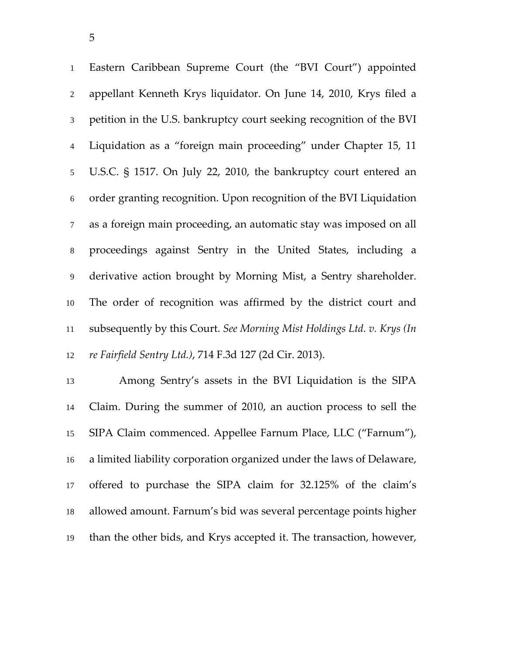Eastern Caribbean Supreme Court (the "BVI Court") appointed appellant Kenneth Krys liquidator. On June 14, 2010, Krys filed a petition in the U.S. bankruptcy court seeking recognition of the BVI Liquidation as a "foreign main proceeding" under Chapter 15, 11 U.S.C. § 1517. On July 22, 2010, the bankruptcy court entered an order granting recognition. Upon recognition of the BVI Liquidation as a foreign main proceeding, an automatic stay was imposed on all proceedings against Sentry in the United States, including a derivative action brought by Morning Mist, a Sentry shareholder. The order of recognition was affirmed by the district court and subsequently by this Court. *See Morning Mist Holdings Ltd. v. Krys (In re Fairfield Sentry Ltd.)*, 714 F.3d 127 (2d Cir. 2013).

Among Sentry's assets in the BVI Liquidation is the SIPA Claim. During the summer of 2010, an auction process to sell the SIPA Claim commenced. Appellee Farnum Place, LLC ("Farnum"), a limited liability corporation organized under the laws of Delaware, offered to purchase the SIPA claim for 32.125% of the claim's allowed amount. Farnum's bid was several percentage points higher than the other bids, and Krys accepted it. The transaction, however,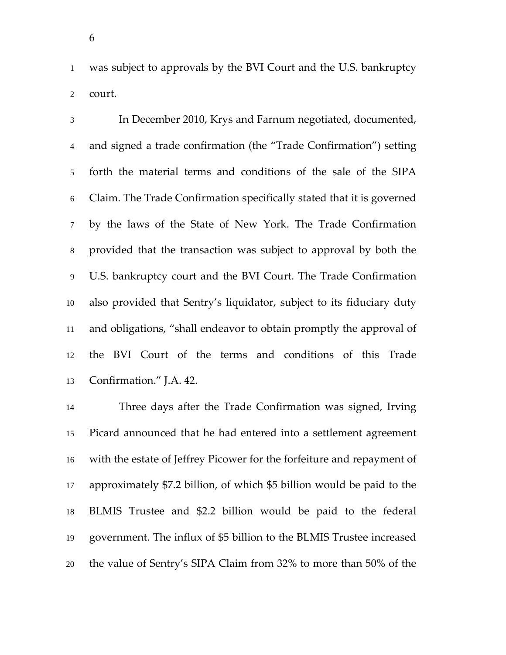was subject to approvals by the BVI Court and the U.S. bankruptcy court.

In December 2010, Krys and Farnum negotiated, documented, and signed a trade confirmation (the "Trade Confirmation") setting forth the material terms and conditions of the sale of the SIPA Claim. The Trade Confirmation specifically stated that it is governed by the laws of the State of New York. The Trade Confirmation provided that the transaction was subject to approval by both the U.S. bankruptcy court and the BVI Court. The Trade Confirmation also provided that Sentry's liquidator, subject to its fiduciary duty and obligations, "shall endeavor to obtain promptly the approval of the BVI Court of the terms and conditions of this Trade Confirmation." J.A. 42.

Three days after the Trade Confirmation was signed, Irving Picard announced that he had entered into a settlement agreement with the estate of Jeffrey Picower for the forfeiture and repayment of approximately \$7.2 billion, of which \$5 billion would be paid to the BLMIS Trustee and \$2.2 billion would be paid to the federal government. The influx of \$5 billion to the BLMIS Trustee increased the value of Sentry's SIPA Claim from 32% to more than 50% of the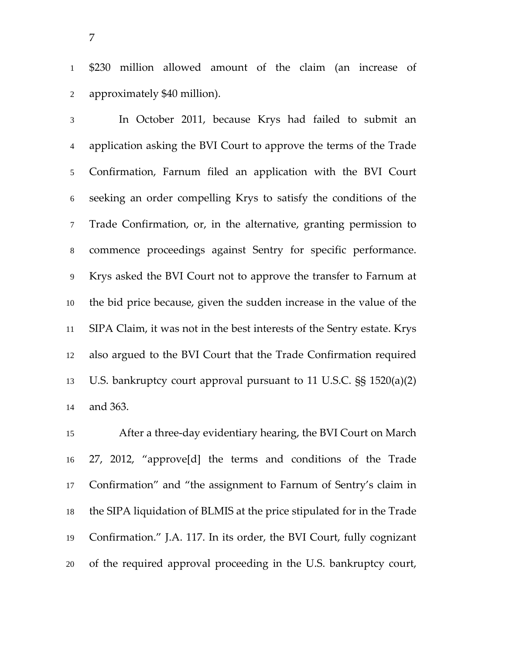\$230 million allowed amount of the claim (an increase of approximately \$40 million).

In October 2011, because Krys had failed to submit an application asking the BVI Court to approve the terms of the Trade Confirmation, Farnum filed an application with the BVI Court seeking an order compelling Krys to satisfy the conditions of the Trade Confirmation, or, in the alternative, granting permission to commence proceedings against Sentry for specific performance. Krys asked the BVI Court not to approve the transfer to Farnum at the bid price because, given the sudden increase in the value of the SIPA Claim, it was not in the best interests of the Sentry estate. Krys also argued to the BVI Court that the Trade Confirmation required U.S. bankruptcy court approval pursuant to 11 U.S.C. §§ 1520(a)(2) and 363.

After a three‐day evidentiary hearing, the BVI Court on March 27, 2012, "approve[d] the terms and conditions of the Trade Confirmation" and "the assignment to Farnum of Sentry's claim in the SIPA liquidation of BLMIS at the price stipulated for in the Trade Confirmation." J.A. 117. In its order, the BVI Court, fully cognizant of the required approval proceeding in the U.S. bankruptcy court,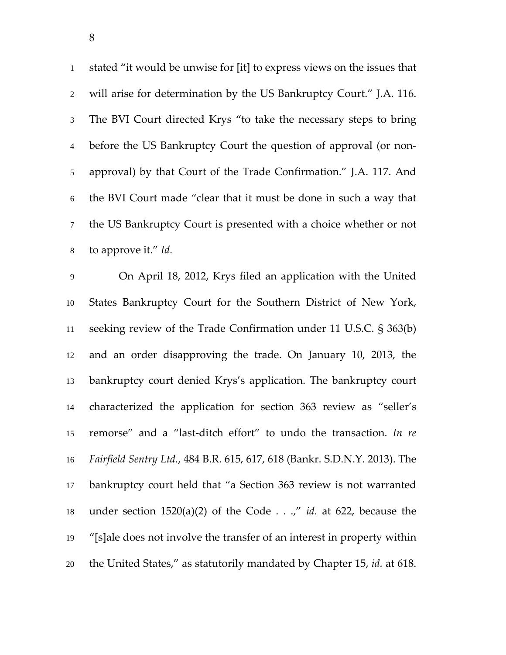stated "it would be unwise for [it] to express views on the issues that will arise for determination by the US Bankruptcy Court." J.A. 116. The BVI Court directed Krys "to take the necessary steps to bring before the US Bankruptcy Court the question of approval (or non‐ approval) by that Court of the Trade Confirmation." J.A. 117. And the BVI Court made "clear that it must be done in such a way that the US Bankruptcy Court is presented with a choice whether or not to approve it." *Id.*

On April 18, 2012, Krys filed an application with the United States Bankruptcy Court for the Southern District of New York, seeking review of the Trade Confirmation under 11 U.S.C. § 363(b) and an order disapproving the trade. On January 10, 2013, the bankruptcy court denied Krys's application. The bankruptcy court characterized the application for section 363 review as "seller's remorse" and a "last‐ditch effort" to undo the transaction. *In re Fairfield Sentry Ltd.*, 484 B.R. 615, 617, 618 (Bankr. S.D.N.Y. 2013). The bankruptcy court held that "a Section 363 review is not warranted under section 1520(a)(2) of the Code . . .," *id.* at 622, because the "[s]ale does not involve the transfer of an interest in property within the United States," as statutorily mandated by Chapter 15, *id.* at 618.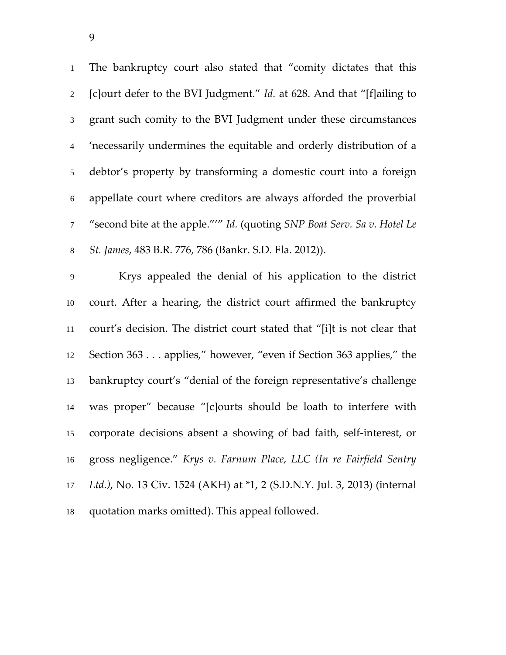The bankruptcy court also stated that "comity dictates that this [c]ourt defer to the BVI Judgment." *Id.* at 628. And that "[f]ailing to grant such comity to the BVI Judgment under these circumstances 'necessarily undermines the equitable and orderly distribution of a debtor's property by transforming a domestic court into a foreign appellate court where creditors are always afforded the proverbial "second bite at the apple."'" *Id.* (quoting *SNP Boat Serv. Sa v. Hotel Le St. James*, 483 B.R. 776, 786 (Bankr. S.D. Fla. 2012)).

Krys appealed the denial of his application to the district court. After a hearing, the district court affirmed the bankruptcy court's decision. The district court stated that "[i]t is not clear that Section 363 . . . applies," however, "even if Section 363 applies," the bankruptcy court's "denial of the foreign representative's challenge was proper" because "[c]ourts should be loath to interfere with corporate decisions absent a showing of bad faith, self‐interest, or gross negligence." *Krys v. Farnum Place, LLC (In re Fairfield Sentry Ltd*.*)*, No. 13 Civ. 1524 (AKH) at \*1, 2 (S.D.N.Y. Jul. 3, 2013) (internal quotation marks omitted). This appeal followed.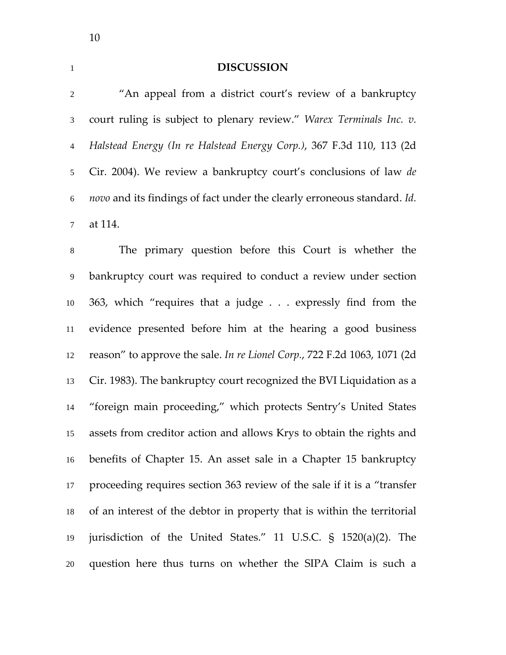# **DISCUSSION**

| $\overline{2}$ | "An appeal from a district court's review of a bankruptcy                   |
|----------------|-----------------------------------------------------------------------------|
| $\mathfrak{Z}$ | court ruling is subject to plenary review." Warex Terminals Inc. v.         |
| $\overline{4}$ | Halstead Energy (In re Halstead Energy Corp.), 367 F.3d 110, 113 (2d        |
| 5              | Cir. 2004). We review a bankruptcy court's conclusions of law de            |
| $\sqrt{6}$     | novo and its findings of fact under the clearly erroneous standard. Id.     |
| $\tau$         | at 114.                                                                     |
| $\,8\,$        | The primary question before this Court is whether the                       |
| $\overline{9}$ | bankruptcy court was required to conduct a review under section             |
| 10             | 363, which "requires that a judge expressly find from the                   |
| 11             | evidence presented before him at the hearing a good business                |
| 12             | reason" to approve the sale. In re Lionel Corp., 722 F.2d 1063, 1071 (2d    |
| 13             | Cir. 1983). The bankruptcy court recognized the BVI Liquidation as a        |
| 14             | "foreign main proceeding," which protects Sentry's United States            |
| 15             | assets from creditor action and allows Krys to obtain the rights and        |
| 16             | benefits of Chapter 15. An asset sale in a Chapter 15 bankruptcy            |
| 17             | proceeding requires section 363 review of the sale if it is a "transfer"    |
| 18             | of an interest of the debtor in property that is within the territorial     |
| 19             | jurisdiction of the United States." 11 U.S.C. $\frac{1}{5}$ 1520(a)(2). The |
| 20             | question here thus turns on whether the SIPA Claim is such a                |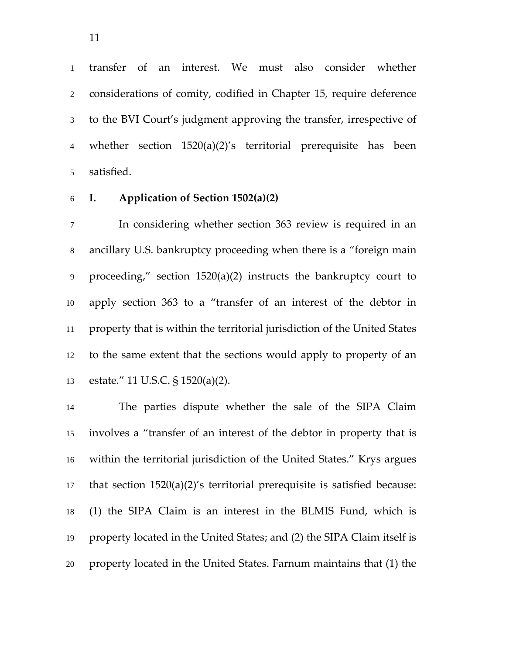transfer of an interest. We must also consider whether considerations of comity, codified in Chapter 15, require deference to the BVI Court's judgment approving the transfer, irrespective of whether section 1520(a)(2)'s territorial prerequisite has been satisfied.

#### **I. Application of Section 1502(a)(2)**

In considering whether section 363 review is required in an ancillary U.S. bankruptcy proceeding when there is a "foreign main proceeding," section 1520(a)(2) instructs the bankruptcy court to apply section 363 to a "transfer of an interest of the debtor in property that is within the territorial jurisdiction of the United States to the same extent that the sections would apply to property of an estate." 11 U.S.C. § 1520(a)(2).

The parties dispute whether the sale of the SIPA Claim involves a "transfer of an interest of the debtor in property that is within the territorial jurisdiction of the United States." Krys argues that section 1520(a)(2)'s territorial prerequisite is satisfied because: (1) the SIPA Claim is an interest in the BLMIS Fund, which is property located in the United States; and (2) the SIPA Claim itself is property located in the United States. Farnum maintains that (1) the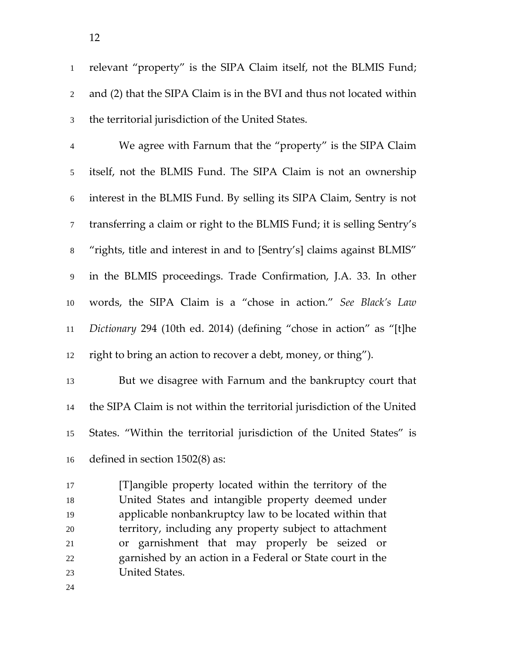relevant "property" is the SIPA Claim itself, not the BLMIS Fund; and (2) that the SIPA Claim is in the BVI and thus not located within the territorial jurisdiction of the United States.

We agree with Farnum that the "property" is the SIPA Claim itself, not the BLMIS Fund. The SIPA Claim is not an ownership interest in the BLMIS Fund. By selling its SIPA Claim, Sentry is not transferring a claim or right to the BLMIS Fund; it is selling Sentry's "rights, title and interest in and to [Sentry's] claims against BLMIS" in the BLMIS proceedings. Trade Confirmation, J.A. 33. In other words, the SIPA Claim is a "chose in action." *See Black's Law Dictionary* 294 (10th ed. 2014) (defining "chose in action" as "[t]he right to bring an action to recover a debt, money, or thing").

But we disagree with Farnum and the bankruptcy court that the SIPA Claim is not within the territorial jurisdiction of the United States. "Within the territorial jurisdiction of the United States" is defined in section 1502(8) as:

[T]angible property located within the territory of the United States and intangible property deemed under applicable nonbankruptcy law to be located within that territory, including any property subject to attachment or garnishment that may properly be seized or garnished by an action in a Federal or State court in the United States.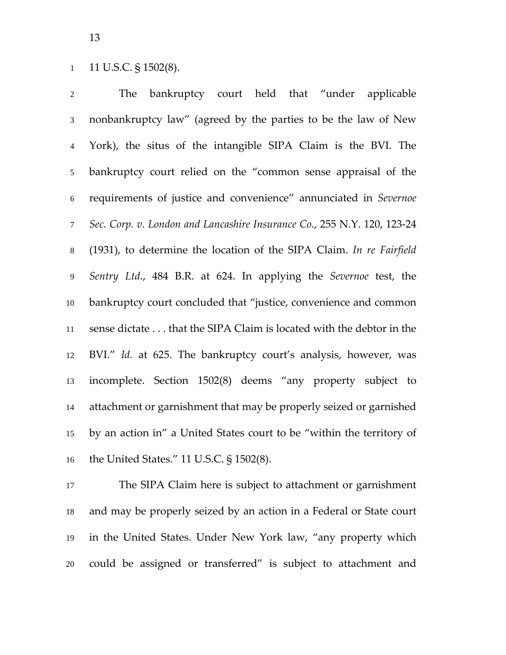### 1 11 U.S.C. § 1502(8).

The bankruptcy court held that "under applicable nonbankruptcy law" (agreed by the parties to be the law of New York), the situs of the intangible SIPA Claim is the BVI. The bankruptcy court relied on the "common sense appraisal of the requirements of justice and convenience" annunciated in *Severnoe Sec. Corp. v. London and Lancashire Insurance Co.*, 255 N.Y. 120, 123‐24 (1931), to determine the location of the SIPA Claim. *In re Fairfield Sentry Ltd.*, 484 B.R. at 624. In applying the *Severnoe* test, the bankruptcy court concluded that "justice, convenience and common sense dictate . . . that the SIPA Claim is located with the debtor in the BVI." *Id.* at 625. The bankruptcy court's analysis, however, was incomplete. Section 1502(8) deems "any property subject to attachment or garnishment that may be properly seized or garnished by an action in" a United States court to be "within the territory of the United States." 11 U.S.C. § 1502(8).

The SIPA Claim here is subject to attachment or garnishment and may be properly seized by an action in a Federal or State court in the United States. Under New York law, "any property which could be assigned or transferred" is subject to attachment and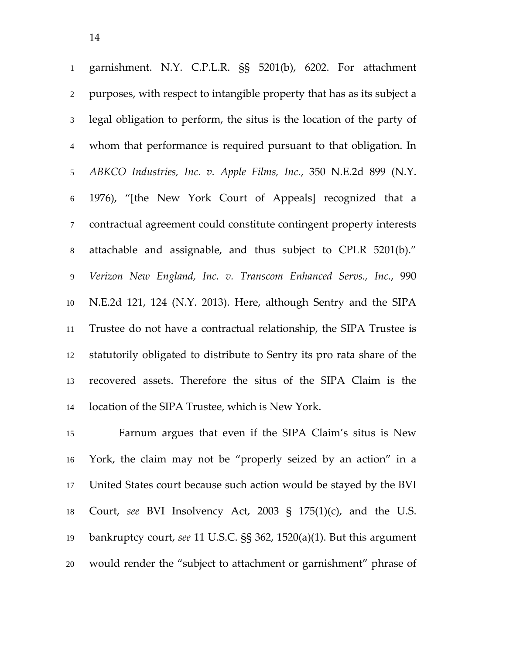garnishment. N.Y. C.P.L.R. §§ 5201(b), 6202. For attachment purposes, with respect to intangible property that has as its subject a legal obligation to perform, the situs is the location of the party of whom that performance is required pursuant to that obligation. In *ABKCO Industries, Inc. v. Apple Films, Inc.*, 350 N.E.2d 899 (N.Y. 1976), "[the New York Court of Appeals] recognized that a contractual agreement could constitute contingent property interests attachable and assignable, and thus subject to CPLR 5201(b)." *Verizon New England, Inc. v. Transcom Enhanced Servs., Inc.*, 990 N.E.2d 121, 124 (N.Y. 2013). Here, although Sentry and the SIPA Trustee do not have a contractual relationship, the SIPA Trustee is statutorily obligated to distribute to Sentry its pro rata share of the recovered assets. Therefore the situs of the SIPA Claim is the location of the SIPA Trustee, which is New York.

Farnum argues that even if the SIPA Claim's situs is New York, the claim may not be "properly seized by an action" in a United States court because such action would be stayed by the BVI Court, *see* BVI Insolvency Act, 2003 § 175(1)(c), and the U.S. bankruptcy court, *see* 11 U.S.C. §§ 362, 1520(a)(1). But this argument would render the "subject to attachment or garnishment" phrase of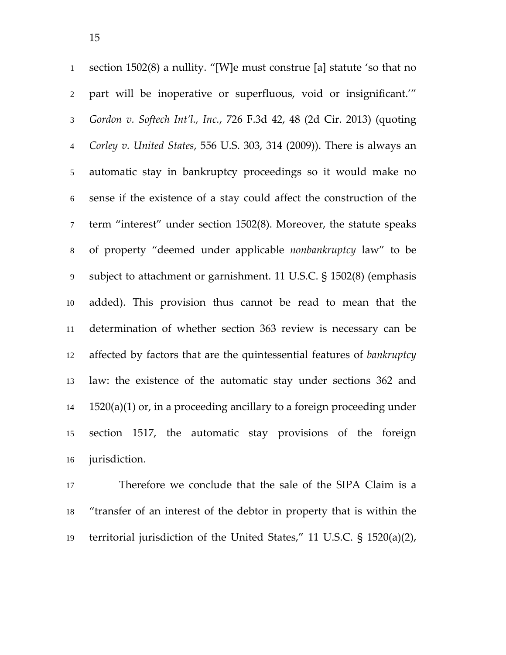section 1502(8) a nullity. "[W]e must construe [a] statute 'so that no part will be inoperative or superfluous, void or insignificant.'" *Gordon v. Softech Int'l., Inc.*, 726 F.3d 42, 48 (2d Cir. 2013) (quoting *Corley v. United States*, 556 U.S. 303, 314 (2009)). There is always an automatic stay in bankruptcy proceedings so it would make no sense if the existence of a stay could affect the construction of the term "interest" under section 1502(8). Moreover, the statute speaks of property "deemed under applicable *nonbankruptcy* law" to be subject to attachment or garnishment. 11 U.S.C. § 1502(8) (emphasis added). This provision thus cannot be read to mean that the determination of whether section 363 review is necessary can be affected by factors that are the quintessential features of *bankruptcy* law: the existence of the automatic stay under sections 362 and 1520(a)(1) or, in a proceeding ancillary to a foreign proceeding under section 1517, the automatic stay provisions of the foreign jurisdiction.

Therefore we conclude that the sale of the SIPA Claim is a "transfer of an interest of the debtor in property that is within the territorial jurisdiction of the United States," 11 U.S.C. § 1520(a)(2),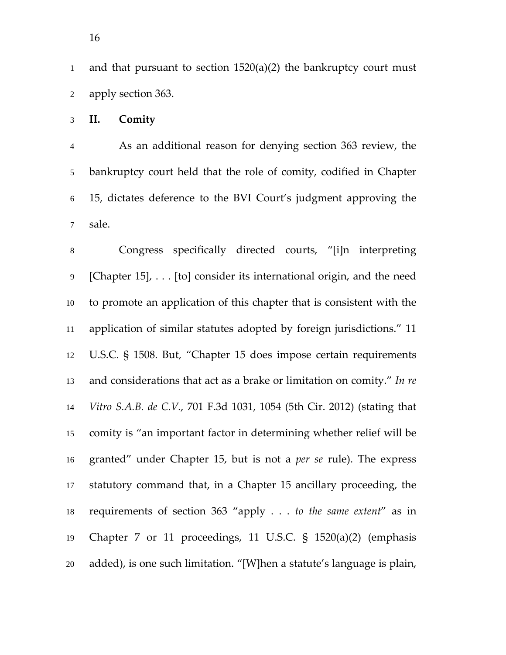and that pursuant to section 1520(a)(2) the bankruptcy court must apply section 363.

**II. Comity**

As an additional reason for denying section 363 review, the bankruptcy court held that the role of comity, codified in Chapter 15, dictates deference to the BVI Court's judgment approving the sale.

Congress specifically directed courts, "[i]n interpreting [Chapter 15], . . . [to] consider its international origin, and the need to promote an application of this chapter that is consistent with the application of similar statutes adopted by foreign jurisdictions." 11 U.S.C. § 1508. But, "Chapter 15 does impose certain requirements and considerations that act as a brake or limitation on comity." *In re Vitro S.A.B. de C.V.*, 701 F.3d 1031, 1054 (5th Cir. 2012) (stating that comity is "an important factor in determining whether relief will be granted" under Chapter 15, but is not a *per se* rule). The express statutory command that, in a Chapter 15 ancillary proceeding, the requirements of section 363 "apply . . . *to the same extent*" as in Chapter 7 or 11 proceedings, 11 U.S.C. § 1520(a)(2) (emphasis added), is one such limitation. "[W]hen a statute's language is plain,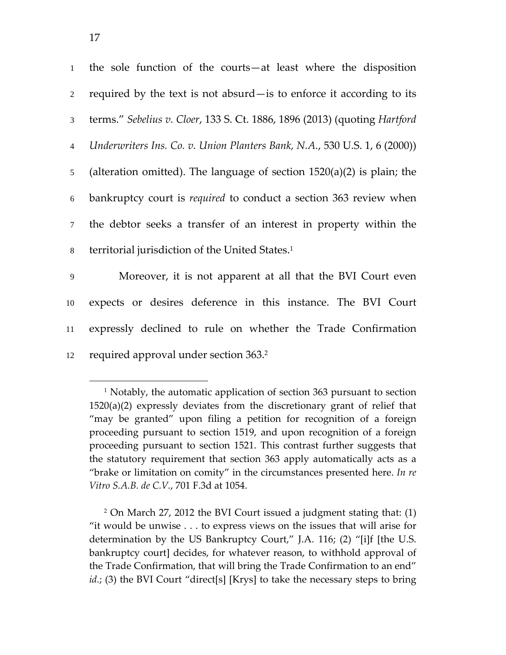$\overline{a}$ 

| $\overline{2}$<br>3<br>$\overline{4}$<br>5 <sup>5</sup><br>6<br>$\overline{7}$<br>territorial jurisdiction of the United States. <sup>1</sup><br>8<br>9<br>10<br>11<br>required approval under section 363. <sup>2</sup><br>12 | 1 | the sole function of the courts—at least where the disposition            |
|--------------------------------------------------------------------------------------------------------------------------------------------------------------------------------------------------------------------------------|---|---------------------------------------------------------------------------|
|                                                                                                                                                                                                                                |   | required by the text is not absurd—is to enforce it according to its      |
|                                                                                                                                                                                                                                |   | terms." Sebelius v. Cloer, 133 S. Ct. 1886, 1896 (2013) (quoting Hartford |
|                                                                                                                                                                                                                                |   | Underwriters Ins. Co. v. Union Planters Bank, N.A., 530 U.S. 1, 6 (2000)) |
|                                                                                                                                                                                                                                |   | (alteration omitted). The language of section $1520(a)(2)$ is plain; the  |
|                                                                                                                                                                                                                                |   | bankruptcy court is <i>required</i> to conduct a section 363 review when  |
|                                                                                                                                                                                                                                |   | the debtor seeks a transfer of an interest in property within the         |
|                                                                                                                                                                                                                                |   |                                                                           |
|                                                                                                                                                                                                                                |   | Moreover, it is not apparent at all that the BVI Court even               |
|                                                                                                                                                                                                                                |   | expects or desires deference in this instance. The BVI Court              |
|                                                                                                                                                                                                                                |   | expressly declined to rule on whether the Trade Confirmation              |
|                                                                                                                                                                                                                                |   |                                                                           |

<sup>&</sup>lt;sup>1</sup> Notably, the automatic application of section 363 pursuant to section 1520(a)(2) expressly deviates from the discretionary grant of relief that "may be granted" upon filing a petition for recognition of a foreign proceeding pursuant to section 1519, and upon recognition of a foreign proceeding pursuant to section 1521. This contrast further suggests that the statutory requirement that section 363 apply automatically acts as a "brake or limitation on comity" in the circumstances presented here. *In re Vitro S.A.B. de C.V.*, 701 F.3d at 1054.

<sup>2</sup> On March 27, 2012 the BVI Court issued a judgment stating that: (1) "it would be unwise . . . to express views on the issues that will arise for determination by the US Bankruptcy Court," J.A. 116; (2) "[i]f [the U.S. bankruptcy court] decides, for whatever reason, to withhold approval of the Trade Confirmation, that will bring the Trade Confirmation to an end" *id.*; (3) the BVI Court "direct[s] [Krys] to take the necessary steps to bring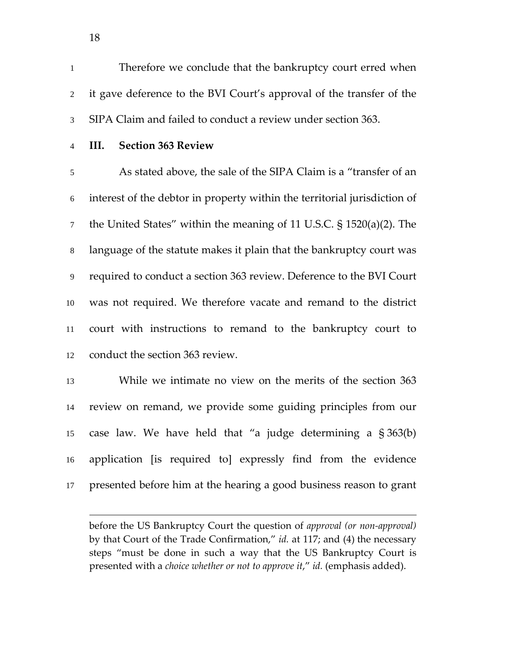Therefore we conclude that the bankruptcy court erred when it gave deference to the BVI Court's approval of the transfer of the SIPA Claim and failed to conduct a review under section 363.

 $\overline{a}$ 

#### **III. Section 363 Review**

As stated above, the sale of the SIPA Claim is a "transfer of an interest of the debtor in property within the territorial jurisdiction of the United States" within the meaning of 11 U.S.C. § 1520(a)(2). The language of the statute makes it plain that the bankruptcy court was required to conduct a section 363 review. Deference to the BVI Court was not required. We therefore vacate and remand to the district court with instructions to remand to the bankruptcy court to conduct the section 363 review.

While we intimate no view on the merits of the section 363 review on remand, we provide some guiding principles from our case law. We have held that "a judge determining a § 363(b) application [is required to] expressly find from the evidence presented before him at the hearing a good business reason to grant

before the US Bankruptcy Court the question of *approval (or non‐approval)* by that Court of the Trade Confirmation," *id.* at 117; and (4) the necessary steps "must be done in such a way that the US Bankruptcy Court is presented with a *choice whether or not to approve it*," *id.* (emphasis added).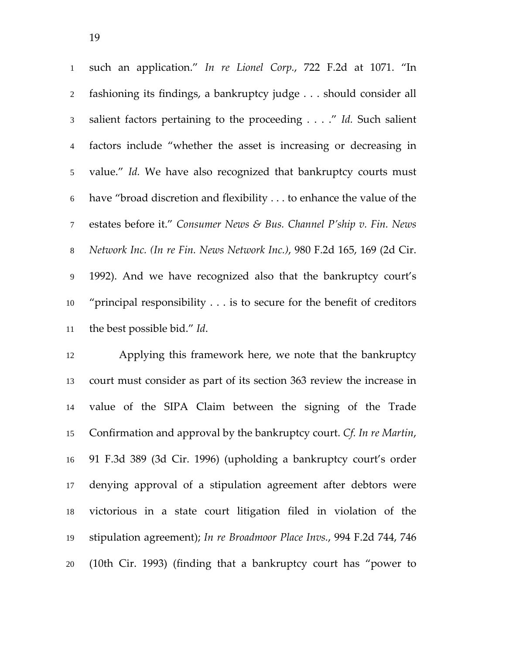|                 | 1 such an application." In re Lionel Corp., 722 F.2d at 1071. "In           |
|-----------------|-----------------------------------------------------------------------------|
| $\overline{2}$  | fashioning its findings, a bankruptcy judge should consider all             |
| 3 <sup>1</sup>  | salient factors pertaining to the proceeding" Id. Such salient              |
| $\overline{4}$  | factors include "whether the asset is increasing or decreasing in           |
| 5 <sup>5</sup>  | value." Id. We have also recognized that bankruptcy courts must             |
| 6               | have "broad discretion and flexibility to enhance the value of the          |
| $7\overline{ }$ | estates before it." Consumer News & Bus. Channel P'ship v. Fin. News        |
| 8               | Network Inc. (In re Fin. News Network Inc.), 980 F.2d 165, 169 (2d Cir.     |
| $\overline{9}$  | 1992). And we have recognized also that the bankruptcy court's              |
| 10              | "principal responsibility $\dots$ is to secure for the benefit of creditors |
| 11              | the best possible bid." Id.                                                 |

Applying this framework here, we note that the bankruptcy court must consider as part of its section 363 review the increase in value of the SIPA Claim between the signing of the Trade Confirmation and approval by the bankruptcy court. *Cf. In re Martin*, 91 F.3d 389 (3d Cir. 1996) (upholding a bankruptcy court's order denying approval of a stipulation agreement after debtors were victorious in a state court litigation filed in violation of the stipulation agreement); *In re Broadmoor Place Invs.*, 994 F.2d 744, 746 (10th Cir. 1993) (finding that a bankruptcy court has "power to